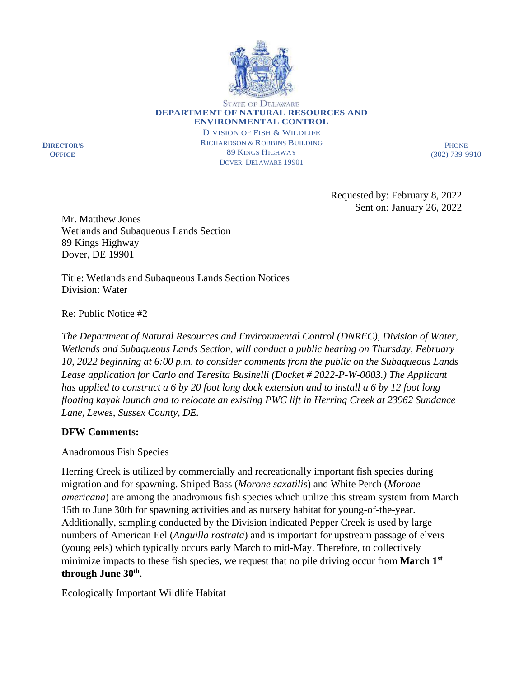

STATE OF DELAWARE **DEPARTMENT OF NATURAL RESOURCES AND ENVIRONMENTAL CONTROL**

**DIRECTOR'S OFFICE**

DIVISION OF FISH & WILDLIFE RICHARDSON & ROBBINS BUILDING 89 KINGS HIGHWAY DOVER, DELAWARE 19901

**PHONE** (302) 739-9910

Requested by: February 8, 2022 Sent on: January 26, 2022

Mr. Matthew Jones Wetlands and Subaqueous Lands Section 89 Kings Highway Dover, DE 19901

Title: Wetlands and Subaqueous Lands Section Notices Division: Water

Re: Public Notice #2

*The Department of Natural Resources and Environmental Control (DNREC), Division of Water, Wetlands and Subaqueous Lands Section, will conduct a public hearing on Thursday, February 10, 2022 beginning at 6:00 p.m. to consider comments from the public on the Subaqueous Lands Lease application for Carlo and Teresita Businelli (Docket # 2022-P-W-0003.) The Applicant has applied to construct a 6 by 20 foot long dock extension and to install a 6 by 12 foot long floating kayak launch and to relocate an existing PWC lift in Herring Creek at 23962 Sundance Lane, Lewes, Sussex County, DE.*

## **DFW Comments:**

## Anadromous Fish Species

Herring Creek is utilized by commercially and recreationally important fish species during migration and for spawning. Striped Bass (*Morone saxatilis*) and White Perch (*Morone americana*) are among the anadromous fish species which utilize this stream system from March 15th to June 30th for spawning activities and as nursery habitat for young-of-the-year. Additionally, sampling conducted by the Division indicated Pepper Creek is used by large numbers of American Eel (*Anguilla rostrata*) and is important for upstream passage of elvers (young eels) which typically occurs early March to mid-May. Therefore, to collectively minimize impacts to these fish species, we request that no pile driving occur from **March 1st through June 30th** .

Ecologically Important Wildlife Habitat